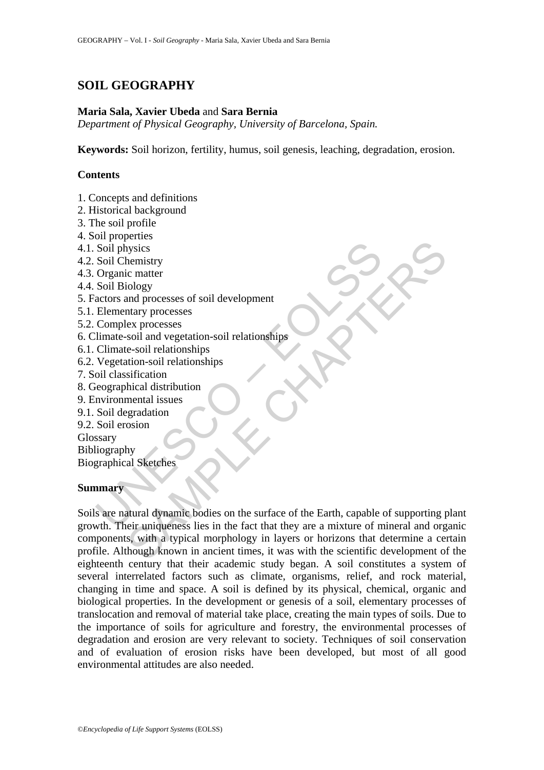# **SOIL GEOGRAPHY**

#### **Maria Sala, Xavier Ubeda** and **Sara Bernia**

*Department of Physical Geography, University of Barcelona, Spain.* 

**Keywords:** Soil horizon, fertility, humus, soil genesis, leaching, degradation, erosion.

### **Contents**

- 1. Concepts and definitions
- 2. Historical background
- 3. The soil profile
- 4. Soil properties
- 4.1. Soil physics
- 4.2. Soil Chemistry
- 4.3. Organic matter
- 4.4. Soil Biology
- 5. Factors and processes of soil development
- 5.1. Elementary processes
- 5.2. Complex processes
- 6. Climate-soil and vegetation-soil relationships
- 6.1. Climate-soil relationships
- 6.2. Vegetation-soil relationships
- 7. Soil classification
- 8. Geographical distribution
- 9. Environmental issues
- 9.1. Soil degradation
- 9.2. Soil erosion

Glossary

Bibliography

Biographical Sketches

#### **Summary**

Soil physics<br>
Soil physics<br>
Soil Chemistry<br>
Organic matter<br>
Soil Biology<br>
Corganic matter<br>
Soil Biology<br>
Elementary processes<br>
Complex processes<br>
Complex processes<br>
Complex processes<br>
Complex processes<br>
Complex processes<br> strate contains and processes<br>the mistry independent conductions and processes of soil development<br>that processes sections and vegetation-soil relationships<br>sinction-soil relationships<br>the section of the mistrical distribu Soils are natural dynamic bodies on the surface of the Earth, capable of supporting plant growth. Their uniqueness lies in the fact that they are a mixture of mineral and organic components, with a typical morphology in layers or horizons that determine a certain profile. Although known in ancient times, it was with the scientific development of the eighteenth century that their academic study began. A soil constitutes a system of several interrelated factors such as climate, organisms, relief, and rock material, changing in time and space. A soil is defined by its physical, chemical, organic and biological properties. In the development or genesis of a soil, elementary processes of translocation and removal of material take place, creating the main types of soils. Due to the importance of soils for agriculture and forestry, the environmental processes of degradation and erosion are very relevant to society. Techniques of soil conservation and of evaluation of erosion risks have been developed, but most of all good environmental attitudes are also needed.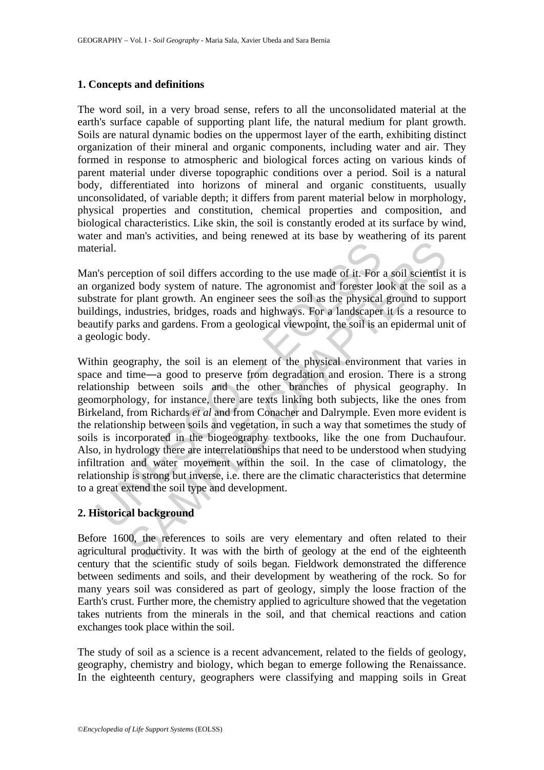#### **1. Concepts and definitions**

The word soil, in a very broad sense, refers to all the unconsolidated material at the earth's surface capable of supporting plant life, the natural medium for plant growth. Soils are natural dynamic bodies on the uppermost layer of the earth, exhibiting distinct organization of their mineral and organic components, including water and air. They formed in response to atmospheric and biological forces acting on various kinds of parent material under diverse topographic conditions over a period. Soil is a natural body, differentiated into horizons of mineral and organic constituents, usually unconsolidated, of variable depth; it differs from parent material below in morphology, physical properties and constitution, chemical properties and composition, and biological characteristics. Like skin, the soil is constantly eroded at its surface by wind, water and man's activities, and being renewed at its base by weathering of its parent material.

Man's perception of soil differs according to the use made of it. For a soil scientist it is an organized body system of nature. The agronomist and forester look at the soil as a substrate for plant growth. An engineer sees the soil as the physical ground to support buildings, industries, bridges, roads and highways. For a landscaper it is a resource to beautify parks and gardens. From a geological viewpoint, the soil is an epidermal unit of a geologic body.

erial.<br>
The person of soil differs according to the use made of it. For<br>
programized body system of nature. The agronomist and forester let<br>
tratte for plant growth. An engineer sees the soil as the physical<br>
dings, indust many and any and started and the set of it. For a soil scientist<br>ed body system of nature. The agronomist and forester look at the soil<br>or plant growth. An engineer sees the soil as the physical ground to sup<br>industries, Within geography, the soil is an element of the physical environment that varies in space and time―a good to preserve from degradation and erosion. There is a strong relationship between soils and the other branches of physical geography. In geomorphology, for instance, there are texts linking both subjects, like the ones from Birkeland, from Richards *et al* and from Conacher and Dalrymple. Even more evident is the relationship between soils and vegetation, in such a way that sometimes the study of soils is incorporated in the biogeography textbooks, like the one from Duchaufour. Also, in hydrology there are interrelationships that need to be understood when studying infiltration and water movement within the soil. In the case of climatology, the relationship is strong but inverse, i.e. there are the climatic characteristics that determine to a great extend the soil type and development.

### **2. Historical background**

Before 1600, the references to soils are very elementary and often related to their agricultural productivity. It was with the birth of geology at the end of the eighteenth century that the scientific study of soils began. Fieldwork demonstrated the difference between sediments and soils, and their development by weathering of the rock. So for many years soil was considered as part of geology, simply the loose fraction of the Earth's crust. Further more, the chemistry applied to agriculture showed that the vegetation takes nutrients from the minerals in the soil, and that chemical reactions and cation exchanges took place within the soil.

The study of soil as a science is a recent advancement, related to the fields of geology, geography, chemistry and biology, which began to emerge following the Renaissance. In the eighteenth century, geographers were classifying and mapping soils in Great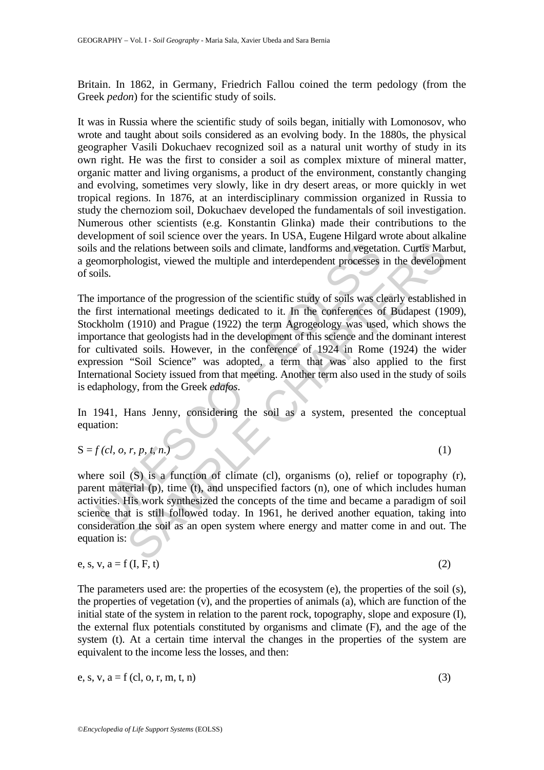Britain. In 1862, in Germany, Friedrich Fallou coined the term pedology (from the Greek *pedon*) for the scientific study of soils.

It was in Russia where the scientific study of soils began, initially with Lomonosov, who wrote and taught about soils considered as an evolving body. In the 1880s, the physical geographer Vasili Dokuchaev recognized soil as a natural unit worthy of study in its own right. He was the first to consider a soil as complex mixture of mineral matter, organic matter and living organisms, a product of the environment, constantly changing and evolving, sometimes very slowly, like in dry desert areas, or more quickly in wet tropical regions. In 1876, at an interdisciplinary commission organized in Russia to study the chernoziom soil, Dokuchaev developed the fundamentals of soil investigation. Numerous other scientists (e.g. Konstantin Glinka) made their contributions to the development of soil science over the years. In USA, Eugene Hilgard wrote about alkaline soils and the relations between soils and climate, landforms and vegetation. Curtis Marbut, a geomorphologist, viewed the multiple and interdependent processes in the development of soils.

is and the relations between soils and climate, landforms and vegetated comorphologist, viewed the multiple and interdependent processes pils.<br>
importance of the progression of the scientific study of soils was climated f increase is a stationary and the method in the developed in the celebrations between soils and climate, landforms and vegetation. Curtis Mandologist, viewed the multiple and interdependent processes in the development of The importance of the progression of the scientific study of soils was clearly established in the first international meetings dedicated to it. In the conferences of Budapest (1909), Stockholm (1910) and Prague (1922) the term Agrogeology was used, which shows the importance that geologists had in the development of this science and the dominant interest for cultivated soils. However, in the conference of 1924 in Rome (1924) the wider expression "Soil Science" was adopted, a term that was also applied to the first International Society issued from that meeting. Another term also used in the study of soils is edaphology, from the Greek *edafos*.

In 1941, Hans Jenny, considering the soil as a system, presented the conceptual equation:

$$
S = f(cl, o, r, p, t, n.)
$$
 (1)

where soil (S) is a function of climate (cl), organisms (o), relief or topography (r), parent material (p), time (t), and unspecified factors (n), one of which includes human activities. His work synthesized the concepts of the time and became a paradigm of soil science that is still followed today. In 1961, he derived another equation, taking into consideration the soil as an open system where energy and matter come in and out. The equation is:

e, s, v, a = f (I, F, t) 
$$
(2)
$$

The parameters used are: the properties of the ecosystem (e), the properties of the soil (s), the properties of vegetation (v), and the properties of animals (a), which are function of the initial state of the system in relation to the parent rock, topography, slope and exposure (I), the external flux potentials constituted by organisms and climate (F), and the age of the system (t). At a certain time interval the changes in the properties of the system are equivalent to the income less the losses, and then:

e, s, v, a = f (cl, o, r, m, t, n) 
$$
(3)
$$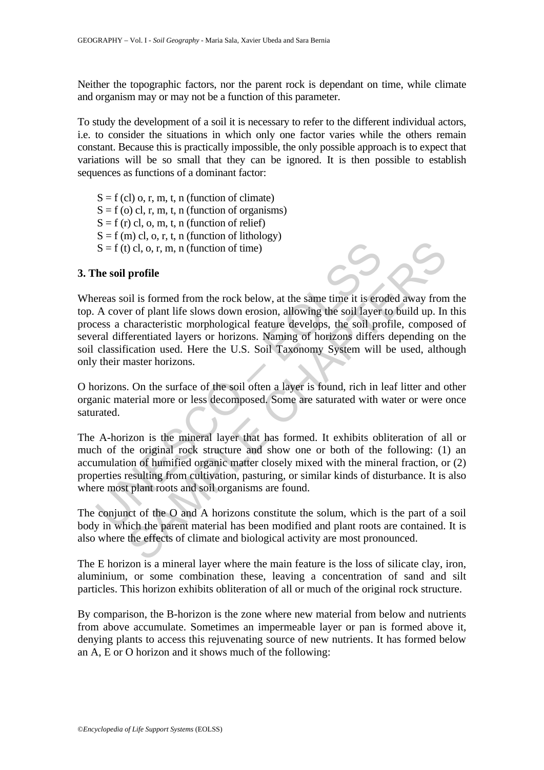Neither the topographic factors, nor the parent rock is dependant on time, while climate and organism may or may not be a function of this parameter.

To study the development of a soil it is necessary to refer to the different individual actors, i.e. to consider the situations in which only one factor varies while the others remain constant. Because this is practically impossible, the only possible approach is to expect that variations will be so small that they can be ignored. It is then possible to establish sequences as functions of a dominant factor:

 $S = f (cl)$  o, r, m, t, n (function of climate)  $S = f$  (o) cl, r, m, t, n (function of organisms)  $S = f(r)$  cl, o, m, t, n (function of relief)  $S = f(m)$  cl, o, r, t, n (function of lithology)  $S = f(t)$  cl, o, r, m, n (function of time)

#### **3. The soil profile**



 $S = f(t)$  cl, o, r, m, n (function of time)<br>
he soil profile<br>
he soil profile<br>
he soil profile<br>
ereas soil is formed from the rock below, at the same time it is ero<br>
a characteristic morphological feature develops, the soil Consideration of the solid of the same time is is ended away from the right of the slows down erosion, allowing the solid layer to build up. In fernetiated layers or horizons. Naming of horizons differs depending on elect Whereas soil is formed from the rock below, at the same time it is eroded away from the top. A cover of plant life slows down erosion, allowing the soil layer to build up. In this process a characteristic morphological feature develops, the soil profile, composed of several differentiated layers or horizons. Naming of horizons differs depending on the soil classification used. Here the U.S. Soil Taxonomy System will be used, although only their master horizons.

O horizons. On the surface of the soil often a layer is found, rich in leaf litter and other organic material more or less decomposed. Some are saturated with water or were once saturated.

The A-horizon is the mineral layer that has formed. It exhibits obliteration of all or much of the original rock structure and show one or both of the following: (1) an accumulation of humified organic matter closely mixed with the mineral fraction, or (2) properties resulting from cultivation, pasturing, or similar kinds of disturbance. It is also where most plant roots and soil organisms are found.

The conjunct of the O and A horizons constitute the solum, which is the part of a soil body in which the parent material has been modified and plant roots are contained. It is also where the effects of climate and biological activity are most pronounced.

The E horizon is a mineral layer where the main feature is the loss of silicate clay, iron, aluminium, or some combination these, leaving a concentration of sand and silt particles. This horizon exhibits obliteration of all or much of the original rock structure.

By comparison, the B-horizon is the zone where new material from below and nutrients from above accumulate. Sometimes an impermeable layer or pan is formed above it, denying plants to access this rejuvenating source of new nutrients. It has formed below an A, E or O horizon and it shows much of the following: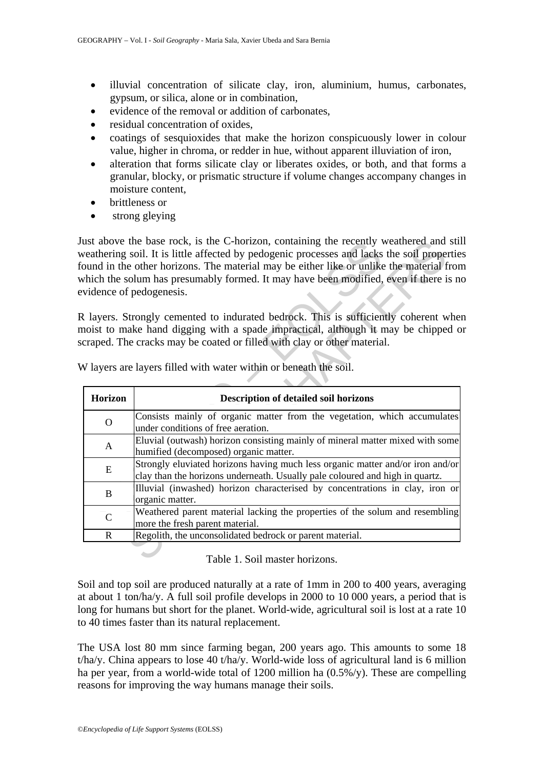- illuvial concentration of silicate clay, iron, aluminium, humus, carbonates, gypsum, or silica, alone or in combination,
- evidence of the removal or addition of carbonates,
- residual concentration of oxides,
- coatings of sesquioxides that make the horizon conspicuously lower in colour value, higher in chroma, or redder in hue, without apparent illuviation of iron,
- alteration that forms silicate clay or liberates oxides, or both, and that forms a granular, blocky, or prismatic structure if volume changes accompany changes in moisture content,
- brittleness or
- strong gleving

Just above the base rock, is the C-horizon, containing the recently weathered and still weathering soil. It is little affected by pedogenic processes and lacks the soil properties found in the other horizons. The material may be either like or unlike the material from which the solum has presumably formed. It may have been modified, even if there is no evidence of pedogenesis.

|              | ust above the base rock, is the C-horizon, containing the recently weathered and stil<br>veathering soil. It is little affected by pedogenic processes and lacks the soil properties<br>ound in the other horizons. The material may be either like or unlike the material from<br>which the solum has presumably formed. It may have been modified, even if there is no<br>vidence of pedogenesis.<br>Layers. Strongly cemented to indurated bedrock. This is sufficiently coherent where |
|--------------|--------------------------------------------------------------------------------------------------------------------------------------------------------------------------------------------------------------------------------------------------------------------------------------------------------------------------------------------------------------------------------------------------------------------------------------------------------------------------------------------|
|              | noist to make hand digging with a spade impractical, although it may be chipped or<br>craped. The cracks may be coated or filled with clay or other material.<br>V layers are layers filled with water within or beneath the soil.                                                                                                                                                                                                                                                         |
| Horizon      | <b>Description of detailed soil horizons</b>                                                                                                                                                                                                                                                                                                                                                                                                                                               |
| $\mathbf{O}$ | Consists mainly of organic matter from the vegetation, which accumulates<br>under conditions of free aeration.                                                                                                                                                                                                                                                                                                                                                                             |
| A            | Eluvial (outwash) horizon consisting mainly of mineral matter mixed with some<br>humified (decomposed) organic matter.                                                                                                                                                                                                                                                                                                                                                                     |
| E            | Strongly eluviated horizons having much less organic matter and/or iron and/or<br>clay than the horizons underneath. Usually pale coloured and high in quartz.                                                                                                                                                                                                                                                                                                                             |
| $\bf{B}$     | Illuvial (inwashed) horizon characterised by concentrations in clay, iron or<br>organic matter.                                                                                                                                                                                                                                                                                                                                                                                            |
| $\mathbf C$  | Weathered parent material lacking the properties of the solum and resembling<br>more the fresh parent material.                                                                                                                                                                                                                                                                                                                                                                            |
| $\mathbb{R}$ | Regolith, the unconsolidated bedrock or parent material.                                                                                                                                                                                                                                                                                                                                                                                                                                   |
|              | Table 1. Soil master horizons.                                                                                                                                                                                                                                                                                                                                                                                                                                                             |

Table 1. Soil master horizons.

Soil and top soil are produced naturally at a rate of 1mm in 200 to 400 years, averaging at about 1 ton/ha/y. A full soil profile develops in 2000 to 10 000 years, a period that is long for humans but short for the planet. World-wide, agricultural soil is lost at a rate 10 to 40 times faster than its natural replacement.

The USA lost 80 mm since farming began, 200 years ago. This amounts to some 18 t/ha/y. China appears to lose 40 t/ha/y. World-wide loss of agricultural land is 6 million ha per year, from a world-wide total of 1200 million ha (0.5%/y). These are compelling reasons for improving the way humans manage their soils.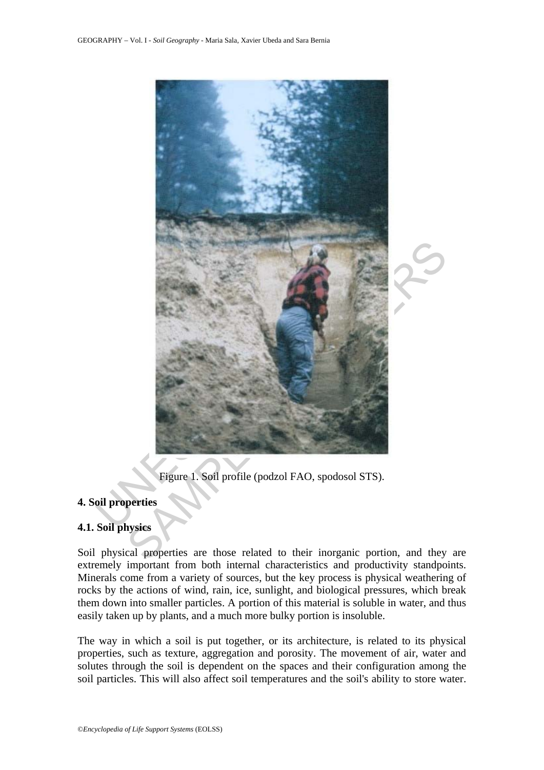

Figure 1. Soil profile (podzol FAO, spodosol STS).

## **4. Soil properties**

### **4.1. Soil physics**

Soil physical properties are those related to their inorganic portion, and they are extremely important from both internal characteristics and productivity standpoints. Minerals come from a variety of sources, but the key process is physical weathering of rocks by the actions of wind, rain, ice, sunlight, and biological pressures, which break them down into smaller particles. A portion of this material is soluble in water, and thus easily taken up by plants, and a much more bulky portion is insoluble.

The way in which a soil is put together, or its architecture, is related to its physical properties, such as texture, aggregation and porosity. The movement of air, water and solutes through the soil is dependent on the spaces and their configuration among the soil particles. This will also affect soil temperatures and the soil's ability to store water.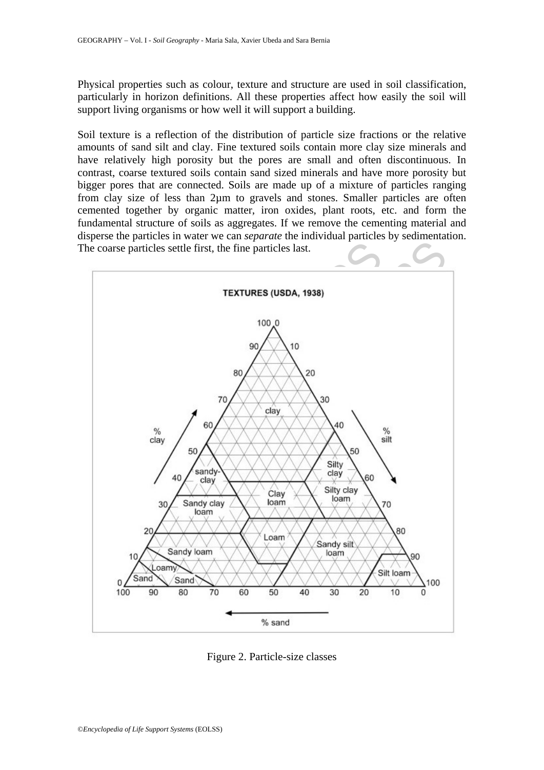Physical properties such as colour, texture and structure are used in soil classification, particularly in horizon definitions. All these properties affect how easily the soil will support living organisms or how well it will support a building.

Soil texture is a reflection of the distribution of particle size fractions or the relative amounts of sand silt and clay. Fine textured soils contain more clay size minerals and have relatively high porosity but the pores are small and often discontinuous. In contrast, coarse textured soils contain sand sized minerals and have more porosity but bigger pores that are connected. Soils are made up of a mixture of particles ranging from clay size of less than 2µm to gravels and stones. Smaller particles are often cemented together by organic matter, iron oxides, plant roots, etc. and form the fundamental structure of soils as aggregates. If we remove the cementing material and disperse the particles in water we can *separate* the individual particles by sedimentation. The coarse particles settle first, the fine particles last.



Figure 2. Particle-size classes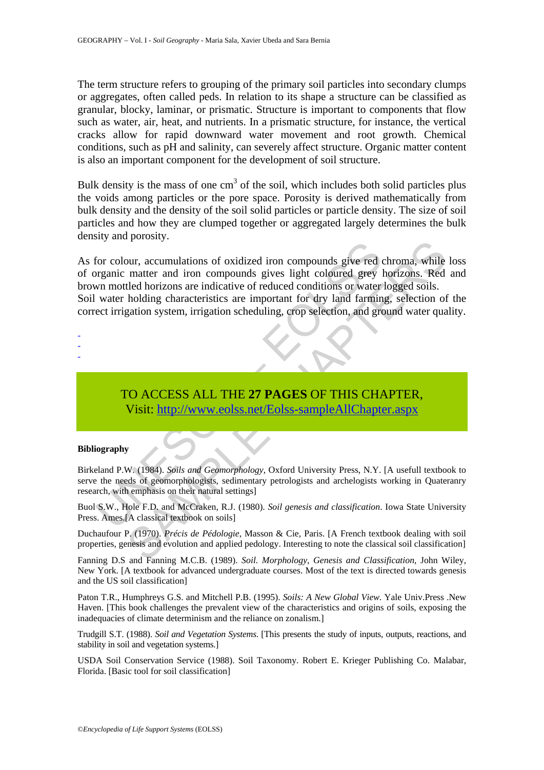The term structure refers to grouping of the primary soil particles into secondary clumps or aggregates, often called peds. In relation to its shape a structure can be classified as granular, blocky, laminar, or prismatic. Structure is important to components that flow such as water, air, heat, and nutrients. In a prismatic structure, for instance, the vertical cracks allow for rapid downward water movement and root growth. Chemical conditions, such as pH and salinity, can severely affect structure. Organic matter content is also an important component for the development of soil structure.

Bulk density is the mass of one  $cm<sup>3</sup>$  of the soil, which includes both solid particles plus the voids among particles or the pore space. Porosity is derived mathematically from bulk density and the density of the soil solid particles or particle density. The size of soil particles and how they are clumped together or aggregated largely determines the bulk density and porosity.

For colour, accumulations of oxidized iron compounds give red or<br>prainic matter and iron compounds gives light coloured grey land farmin<br>term and iron compounds gives light coloured grey land farming<br>water holding characte The main and iron of oxidized iron compounds give red chroma, while<br>matter and iron compounds gives light coloured grey horizons. Red<br>tled horizons are indicative of reduced conditions or water logged soils.<br>holding charac As for colour, accumulations of oxidized iron compounds give red chroma, while loss of organic matter and iron compounds gives light coloured grey horizons. Red and brown mottled horizons are indicative of reduced conditions or water logged soils. Soil water holding characteristics are important for dry land farming, selection of the correct irrigation system, irrigation scheduling, crop selection, and ground water quality.

- -
- -
- -

# TO ACCESS ALL THE **27 PAGES** OF THIS CHAPTER, Visit: http://www.eolss.net/Eolss-sampleAllChapter.aspx

#### **Bibliography**

Birkeland P.W. (1984). *Soils and Geomorphology*, Oxford University Press, N.Y. [A usefull textbook to serve the needs of geomorphologists, sedimentary petrologists and archelogists working in Quateranry research, with emphasis on their natural settings]

Buol S.W., Hole F.D. and McCraken, R.J. (1980). *Soil genesis and classification*. Iowa State University Press. Ames.[A classical textbook on soils]

Duchaufour P. (1970). *Précis de Pédologie*, Masson & Cie, Paris. [A French textbook dealing with soil properties, genesis and evolution and applied pedology. Interesting to note the classical soil classification]

Fanning D.S and Fanning M.C.B. (1989). *Soil. Morphology, Genesis and Classification*, John Wiley, New York. [A textbook for advanced undergraduate courses. Most of the text is directed towards genesis and the US soil classification]

Paton T.R., Humphreys G.S. and Mitchell P.B. (1995). *Soils: A New Global View.* Yale Univ.Press .New Haven. [This book challenges the prevalent view of the characteristics and origins of soils, exposing the inadequacies of climate determinism and the reliance on zonalism.]

Trudgill S.T. (1988). *Soil and Vegetation Systems*. [This presents the study of inputs, outputs, reactions, and stability in soil and vegetation systems.]

USDA Soil Conservation Service (1988). Soil Taxonomy. Robert E. Krieger Publishing Co. Malabar, Florida. [Basic tool for soil classification]